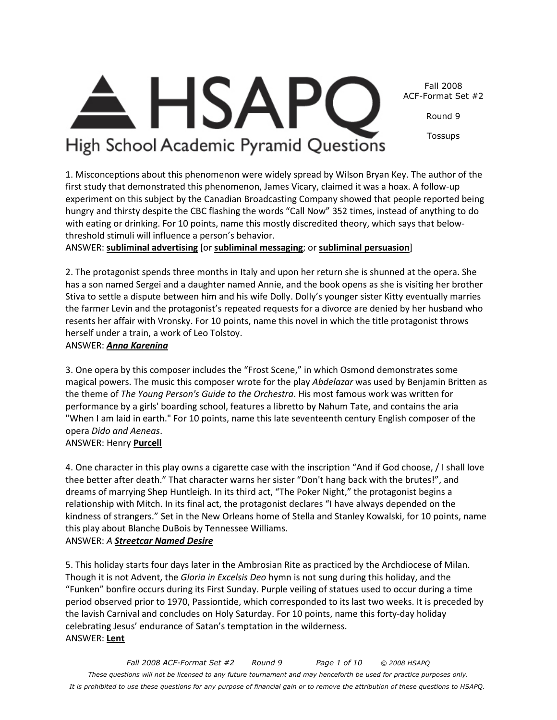*Fall 2008 ACF-Format Set #2 Round 9 Page 1 of 10 © 2008 HSAPQ These questions will not be licensed to any future tournament and may henceforth be used for practice purposes only. It is prohibited to use these questions for any purpose of financial gain or to remove the attribution of these questions to HSAPQ.*



Round 9

Tossups

## High School Academic Pyramid Questions

**HSAP** 

1. Misconceptions about this phenomenon were widely spread by Wilson Bryan Key. The author of the first study that demonstrated this phenomenon, James Vicary, claimed it was a hoax. A follow-up experiment on this subject by the Canadian Broadcasting Company showed that people reported being hungry and thirsty despite the CBC flashing the words "Call Now" 352 times, instead of anything to do with eating or drinking. For 10 points, name this mostly discredited theory, which says that belowthreshold stimuli will influence a person's behavior.

ANSWER: **subliminal advertising** [or **subliminal messaging**; or **subliminal persuasion**]

2. The protagonist spends three months in Italy and upon her return she is shunned at the opera. She has a son named Sergei and a daughter named Annie, and the book opens as she is visiting her brother Stiva to settle a dispute between him and his wife Dolly. Dolly's younger sister Kitty eventually marries the farmer Levin and the protagonist's repeated requests for a divorce are denied by her husband who resents her affair with Vronsky. For 10 points, name this novel in which the title protagonist throws herself under a train, a work of Leo Tolstoy.

## ANSWER: *Anna Karenina*

3. One opera by this composer includes the "Frost Scene," in which Osmond demonstrates some magical powers. The music this composer wrote for the play *Abdelazar* was used by Benjamin Britten as the theme of *The Young Person's Guide to the Orchestra*. His most famous work was written for performance by a girls' boarding school, features a libretto by Nahum Tate, and contains the aria "When I am laid in earth." For 10 points, name this late seventeenth century English composer of the opera *Dido and Aeneas*.

## ANSWER: Henry **Purcell**

4. One character in this play owns a cigarette case with the inscription "And if God choose, / I shall love thee better after death." That character warns her sister "Don't hang back with the brutes!", and dreams of marrying Shep Huntleigh. In its third act, "The Poker Night," the protagonist begins a relationship with Mitch. In its final act, the protagonist declares "I have always depended on the kindness of strangers." Set in the New Orleans home of Stella and Stanley Kowalski, for 10 points, name this play about Blanche DuBois by Tennessee Williams.

## ANSWER: *A Streetcar Named Desire*

5. This holiday starts four days later in the Ambrosian Rite as practiced by the Archdiocese of Milan. Though it is not Advent, the *Gloria in Excelsis Deo* hymn is not sung during this holiday, and the "Funken" bonfire occurs during its First Sunday. Purple veiling of statues used to occur during a time period observed prior to 1970, Passiontide, which corresponded to its last two weeks. It is preceded by the lavish Carnival and concludes on Holy Saturday. For 10 points, name this forty-day holiday celebrating Jesus' endurance of Satan's temptation in the wilderness. ANSWER: **Lent**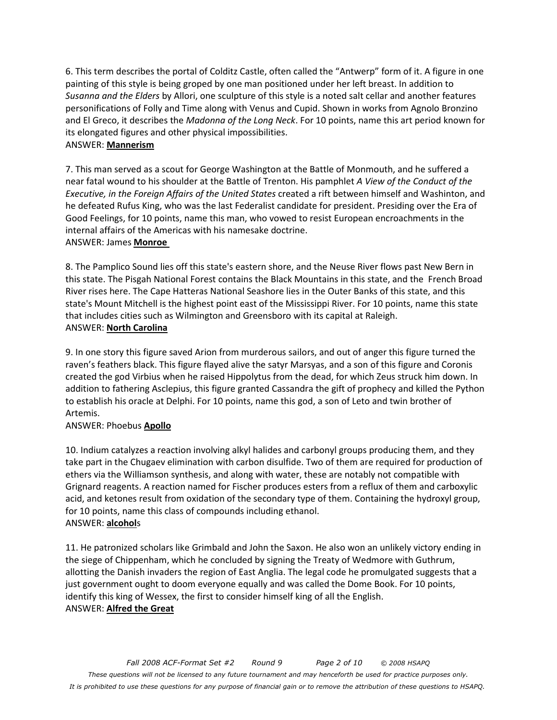6. This term describes the portal of Colditz Castle, often called the "Antwerp" form of it. A figure in one painting of this style is being groped by one man positioned under her left breast. In addition to *Susanna and the Elders* by Allori, one sculpture of this style is a noted salt cellar and another features personifications of Folly and Time along with Venus and Cupid. Shown in works from Agnolo Bronzino and El Greco, it describes the *Madonna of the Long Neck*. For 10 points, name this art period known for its elongated figures and other physical impossibilities. ANSWER: **Mannerism**

7. This man served as a scout for George Washington at the Battle of Monmouth, and he suffered a near fatal wound to his shoulder at the Battle of Trenton. His pamphlet *A View of the Conduct of the Executive, in the Foreign Affairs of the United States* created a rift between himself and Washinton, and he defeated Rufus King, who was the last Federalist candidate for president. Presiding over the Era of Good Feelings, for 10 points, name this man, who vowed to resist European encroachments in the internal affairs of the Americas with his namesake doctrine. ANSWER: James **Monroe** 

8. The Pamplico Sound lies off this state's eastern shore, and the Neuse River flows past New Bern in this state. The Pisgah National Forest contains the Black Mountains in this state, and the French Broad River rises here. The Cape Hatteras National Seashore lies in the Outer Banks of this state, and this state's Mount Mitchell is the highest point east of the Mississippi River. For 10 points, name this state that includes cities such as Wilmington and Greensboro with its capital at Raleigh. ANSWER: **North Carolina**

9. In one story this figure saved Arion from murderous sailors, and out of anger this figure turned the raven's feathers black. This figure flayed alive the satyr Marsyas, and a son of this figure and Coronis created the god Virbius when he raised Hippolytus from the dead, for which Zeus struck him down. In addition to fathering Asclepius, this figure granted Cassandra the gift of prophecy and killed the Python to establish his oracle at Delphi. For 10 points, name this god, a son of Leto and twin brother of Artemis.

#### ANSWER: Phoebus **Apollo**

10. Indium catalyzes a reaction involving alkyl halides and carbonyl groups producing them, and they take part in the Chugaev elimination with carbon disulfide. Two of them are required for production of ethers via the Williamson synthesis, and along with water, these are notably not compatible with Grignard reagents. A reaction named for Fischer produces esters from a reflux of them and carboxylic acid, and ketones result from oxidation of the secondary type of them. Containing the hydroxyl group, for 10 points, name this class of compounds including ethanol. ANSWER: **alcohol**s

11. He patronized scholars like Grimbald and John the Saxon. He also won an unlikely victory ending in the siege of Chippenham, which he concluded by signing the Treaty of Wedmore with Guthrum, allotting the Danish invaders the region of East Anglia. The legal code he promulgated suggests that a just government ought to doom everyone equally and was called the Dome Book. For 10 points, identify this king of Wessex, the first to consider himself king of all the English. ANSWER: **Alfred the Great**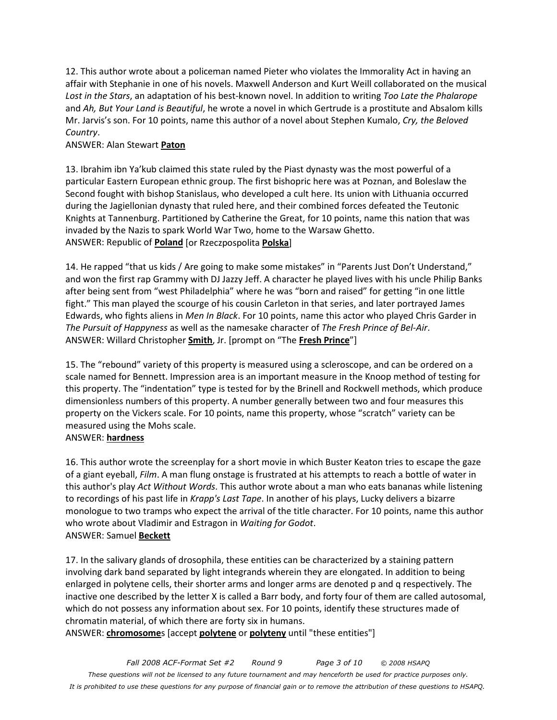12. This author wrote about a policeman named Pieter who violates the Immorality Act in having an affair with Stephanie in one of his novels. Maxwell Anderson and Kurt Weill collaborated on the musical *Lost in the Stars*, an adaptation of his best-known novel. In addition to writing *Too Late the Phalarope*  and *Ah, But Your Land is Beautiful*, he wrote a novel in which Gertrude is a prostitute and Absalom kills Mr. Jarvis's son. For 10 points, name this author of a novel about Stephen Kumalo, *Cry, the Beloved Country*.

#### ANSWER: Alan Stewart **Paton**

13. Ibrahim ibn Ya'kub claimed this state ruled by the Piast dynasty was the most powerful of a particular Eastern European ethnic group. The first bishopric here was at Poznan, and Boleslaw the Second fought with bishop Stanislaus, who developed a cult here. Its union with Lithuania occurred during the Jagiellonian dynasty that ruled here, and their combined forces defeated the Teutonic Knights at Tannenburg. Partitioned by Catherine the Great, for 10 points, name this nation that was invaded by the Nazis to spark World War Two, home to the Warsaw Ghetto. ANSWER: Republic of **Poland** [or Rzeczpospolita **Polska**]

14. He rapped "that us kids / Are going to make some mistakes" in "Parents Just Don't Understand," and won the first rap Grammy with DJ Jazzy Jeff. A character he played lives with his uncle Philip Banks after being sent from "west Philadelphia" where he was "born and raised" for getting "in one little fight." This man played the scourge of his cousin Carleton in that series, and later portrayed James Edwards, who fights aliens in *Men In Black*. For 10 points, name this actor who played Chris Garder in *The Pursuit of Happyness* as well as the namesake character of *The Fresh Prince of Bel-Air*. ANSWER: Willard Christopher **Smith**, Jr. [prompt on "The **Fresh Prince**"]

15. The "rebound" variety of this property is measured using a scleroscope, and can be ordered on a scale named for Bennett. Impression area is an important measure in the Knoop method of testing for this property. The "indentation" type is tested for by the Brinell and Rockwell methods, which produce dimensionless numbers of this property. A number generally between two and four measures this property on the Vickers scale. For 10 points, name this property, whose "scratch" variety can be measured using the Mohs scale.

#### ANSWER: **hardness**

16. This author wrote the screenplay for a short movie in which Buster Keaton tries to escape the gaze of a giant eyeball, *Film*. A man flung onstage is frustrated at his attempts to reach a bottle of water in this author's play *Act Without Words*. This author wrote about a man who eats bananas while listening to recordings of his past life in *Krapp's Last Tape*. In another of his plays, Lucky delivers a bizarre monologue to two tramps who expect the arrival of the title character. For 10 points, name this author who wrote about Vladimir and Estragon in *Waiting for Godot*. ANSWER: Samuel **Beckett**

17. In the salivary glands of drosophila, these entities can be characterized by a staining pattern involving dark band separated by light integrands wherein they are elongated. In addition to being enlarged in polytene cells, their shorter arms and longer arms are denoted p and q respectively. The inactive one described by the letter X is called a Barr body, and forty four of them are called autosomal, which do not possess any information about sex. For 10 points, identify these structures made of chromatin material, of which there are forty six in humans.

ANSWER: **chromosome**s [accept **polytene** or **polyteny** until "these entities"]

*Fall 2008 ACF-Format Set #2 Round 9 Page 3 of 10 © 2008 HSAPQ These questions will not be licensed to any future tournament and may henceforth be used for practice purposes only. It is prohibited to use these questions for any purpose of financial gain or to remove the attribution of these questions to HSAPQ.*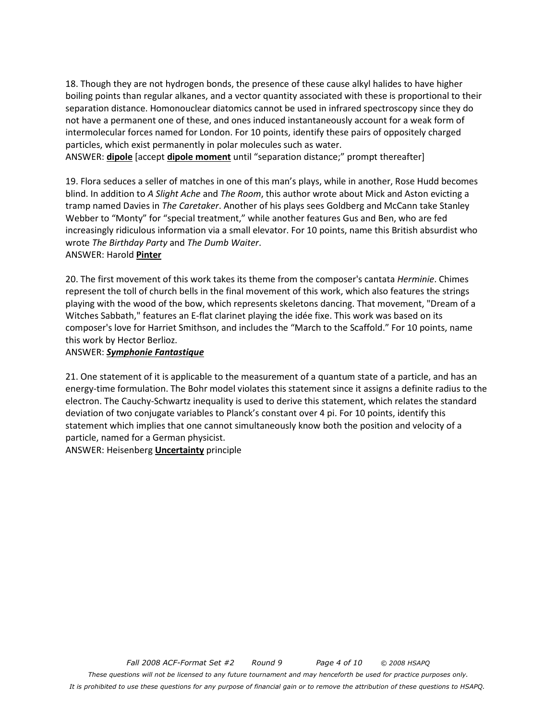18. Though they are not hydrogen bonds, the presence of these cause alkyl halides to have higher boiling points than regular alkanes, and a vector quantity associated with these is proportional to their separation distance. Homonouclear diatomics cannot be used in infrared spectroscopy since they do not have a permanent one of these, and ones induced instantaneously account for a weak form of intermolecular forces named for London. For 10 points, identify these pairs of oppositely charged particles, which exist permanently in polar molecules such as water.

ANSWER: **dipole** [accept **dipole moment** until "separation distance;" prompt thereafter]

19. Flora seduces a seller of matches in one of this man's plays, while in another, Rose Hudd becomes blind. In addition to *A Slight Ache* and *The Room*, this author wrote about Mick and Aston evicting a tramp named Davies in *The Caretaker*. Another of his plays sees Goldberg and McCann take Stanley Webber to "Monty" for "special treatment," while another features Gus and Ben, who are fed increasingly ridiculous information via a small elevator. For 10 points, name this British absurdist who wrote *The Birthday Party* and *The Dumb Waiter*. ANSWER: Harold **Pinter**

20. The first movement of this work takes its theme from the composer's cantata *Herminie*. Chimes represent the toll of church bells in the final movement of this work, which also features the strings playing with the wood of the bow, which represents skeletons dancing. That movement, "Dream of a Witches Sabbath," features an E-flat clarinet playing the idée fixe. This work was based on its composer's love for Harriet Smithson, and includes the "March to the Scaffold." For 10 points, name this work by Hector Berlioz.

#### ANSWER: *Symphonie Fantastique*

21. One statement of it is applicable to the measurement of a quantum state of a particle, and has an energy-time formulation. The Bohr model violates this statement since it assigns a definite radius to the electron. The Cauchy-Schwartz inequality is used to derive this statement, which relates the standard deviation of two conjugate variables to Planck's constant over 4 pi. For 10 points, identify this statement which implies that one cannot simultaneously know both the position and velocity of a particle, named for a German physicist.

ANSWER: Heisenberg **Uncertainty** principle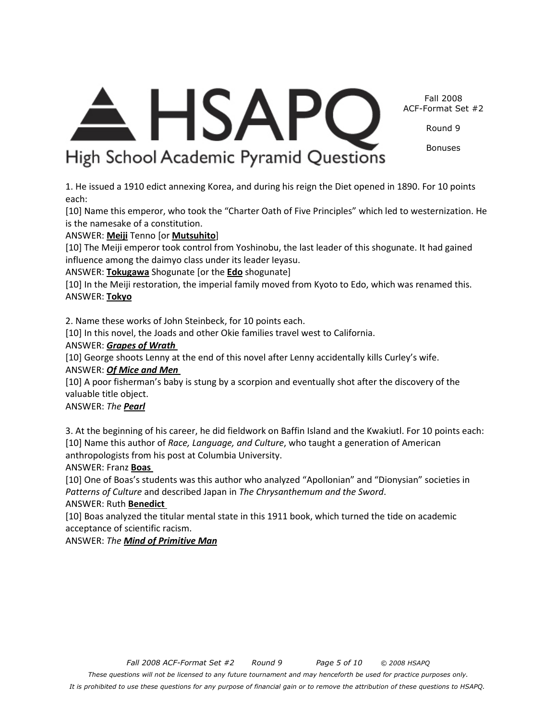<del>A</del> HSAPC Fall 2008 ACF-Format Set #2

Round 9

Bonuses

# High School Academic Pyramid Questions

1. He issued a 1910 edict annexing Korea, and during his reign the Diet opened in 1890. For 10 points each:

[10] Name this emperor, who took the "Charter Oath of Five Principles" which led to westernization. He is the namesake of a constitution.

ANSWER: **Meiji** Tenno [or **Mutsuhito**]

[10] The Meiji emperor took control from Yoshinobu, the last leader of this shogunate. It had gained influence among the daimyo class under its leader Ieyasu.

ANSWER: **Tokugawa** Shogunate [or the **Edo** shogunate]

[10] In the Meiji restoration, the imperial family moved from Kyoto to Edo, which was renamed this. ANSWER: **Tokyo**

2. Name these works of John Steinbeck, for 10 points each.

[10] In this novel, the Joads and other Okie families travel west to California.

#### ANSWER: *Grapes of Wrath*

[10] George shoots Lenny at the end of this novel after Lenny accidentally kills Curley's wife. ANSWER: *Of Mice and Men* 

[10] A poor fisherman's baby is stung by a scorpion and eventually shot after the discovery of the valuable title object.

ANSWER: *The Pearl*

3. At the beginning of his career, he did fieldwork on Baffin Island and the Kwakiutl. For 10 points each: [10] Name this author of *Race, Language, and Culture*, who taught a generation of American anthropologists from his post at Columbia University.

ANSWER: Franz **Boas** 

[10] One of Boas's students was this author who analyzed "Apollonian" and "Dionysian" societies in *Patterns of Culture* and described Japan in *The Chrysanthemum and the Sword*. ANSWER: Ruth **Benedict** 

[10] Boas analyzed the titular mental state in this 1911 book, which turned the tide on academic acceptance of scientific racism.

ANSWER: *The Mind of Primitive Man*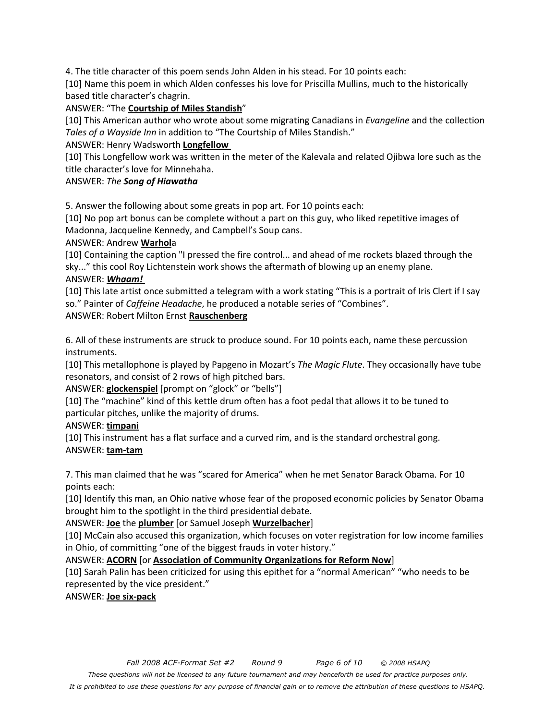4. The title character of this poem sends John Alden in his stead. For 10 points each:

[10] Name this poem in which Alden confesses his love for Priscilla Mullins, much to the historically based title character's chagrin.

ANSWER: "The **Courtship of Miles Standish**"

[10] This American author who wrote about some migrating Canadians in *Evangeline* and the collection *Tales of a Wayside Inn* in addition to "The Courtship of Miles Standish."

ANSWER: Henry Wadsworth **Longfellow** 

[10] This Longfellow work was written in the meter of the Kalevala and related Ojibwa lore such as the title character's love for Minnehaha.

ANSWER: *The Song of Hiawatha*

5. Answer the following about some greats in pop art. For 10 points each:

[10] No pop art bonus can be complete without a part on this guy, who liked repetitive images of Madonna, Jacqueline Kennedy, and Campbell's Soup cans.

ANSWER: Andrew **Warhol**a

[10] Containing the caption "I pressed the fire control... and ahead of me rockets blazed through the sky..." this cool Roy Lichtenstein work shows the aftermath of blowing up an enemy plane. ANSWER: *Whaam!* 

[10] This late artist once submitted a telegram with a work stating "This is a portrait of Iris Clert if I say so." Painter of *Caffeine Headache*, he produced a notable series of "Combines".

ANSWER: Robert Milton Ernst **Rauschenberg**

6. All of these instruments are struck to produce sound. For 10 points each, name these percussion instruments.

[10] This metallophone is played by Papgeno in Mozart's *The Magic Flute*. They occasionally have tube resonators, and consist of 2 rows of high pitched bars.

ANSWER: **glockenspiel** [prompt on "glock" or "bells"]

[10] The "machine" kind of this kettle drum often has a foot pedal that allows it to be tuned to particular pitches, unlike the majority of drums.

ANSWER: **timpani**

[10] This instrument has a flat surface and a curved rim, and is the standard orchestral gong. ANSWER: **tam-tam**

7. This man claimed that he was "scared for America" when he met Senator Barack Obama. For 10 points each:

[10] Identify this man, an Ohio native whose fear of the proposed economic policies by Senator Obama brought him to the spotlight in the third presidential debate.

ANSWER: **Joe** the **plumber** [or Samuel Joseph **Wurzelbacher**]

[10] McCain also accused this organization, which focuses on voter registration for low income families in Ohio, of committing "one of the biggest frauds in voter history."

ANSWER: **ACORN** [or **Association of Community Organizations for Reform Now**]

[10] Sarah Palin has been criticized for using this epithet for a "normal American" "who needs to be represented by the vice president."

ANSWER: **Joe six-pack**

*These questions will not be licensed to any future tournament and may henceforth be used for practice purposes only.* 

*It is prohibited to use these questions for any purpose of financial gain or to remove the attribution of these questions to HSAPQ.*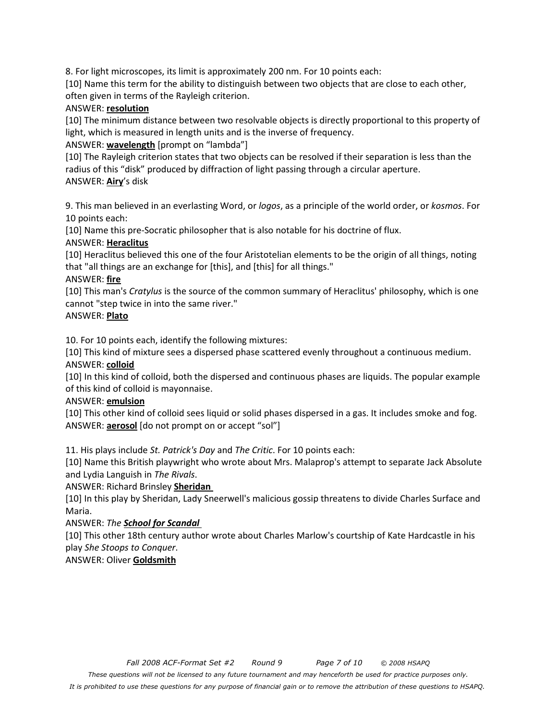8. For light microscopes, its limit is approximately 200 nm. For 10 points each:

[10] Name this term for the ability to distinguish between two objects that are close to each other, often given in terms of the Rayleigh criterion.

#### ANSWER: **resolution**

[10] The minimum distance between two resolvable objects is directly proportional to this property of light, which is measured in length units and is the inverse of frequency.

ANSWER: **wavelength** [prompt on "lambda"]

[10] The Rayleigh criterion states that two objects can be resolved if their separation is less than the radius of this "disk" produced by diffraction of light passing through a circular aperture. ANSWER: **Airy**'s disk

9. This man believed in an everlasting Word, or *logos*, as a principle of the world order, or *kosmos*. For 10 points each:

[10] Name this pre-Socratic philosopher that is also notable for his doctrine of flux.

#### ANSWER: **Heraclitus**

[10] Heraclitus believed this one of the four Aristotelian elements to be the origin of all things, noting that "all things are an exchange for [this], and [this] for all things."

#### ANSWER: **fire**

[10] This man's *Cratylus* is the source of the common summary of Heraclitus' philosophy, which is one cannot "step twice in into the same river."

#### ANSWER: **Plato**

10. For 10 points each, identify the following mixtures:

[10] This kind of mixture sees a dispersed phase scattered evenly throughout a continuous medium. ANSWER: **colloid**

[10] In this kind of colloid, both the dispersed and continuous phases are liquids. The popular example of this kind of colloid is mayonnaise.

#### ANSWER: **emulsion**

[10] This other kind of colloid sees liquid or solid phases dispersed in a gas. It includes smoke and fog. ANSWER: **aerosol** [do not prompt on or accept "sol"]

11. His plays include *St. Patrick's Day* and *The Critic*. For 10 points each:

[10] Name this British playwright who wrote about Mrs. Malaprop's attempt to separate Jack Absolute and Lydia Languish in *The Rivals*.

#### ANSWER: Richard Brinsley **Sheridan**

[10] In this play by Sheridan, Lady Sneerwell's malicious gossip threatens to divide Charles Surface and Maria.

#### ANSWER: *The School for Scandal*

[10] This other 18th century author wrote about Charles Marlow's courtship of Kate Hardcastle in his play *She Stoops to Conquer*.

#### ANSWER: Oliver **Goldsmith**

*It is prohibited to use these questions for any purpose of financial gain or to remove the attribution of these questions to HSAPQ.*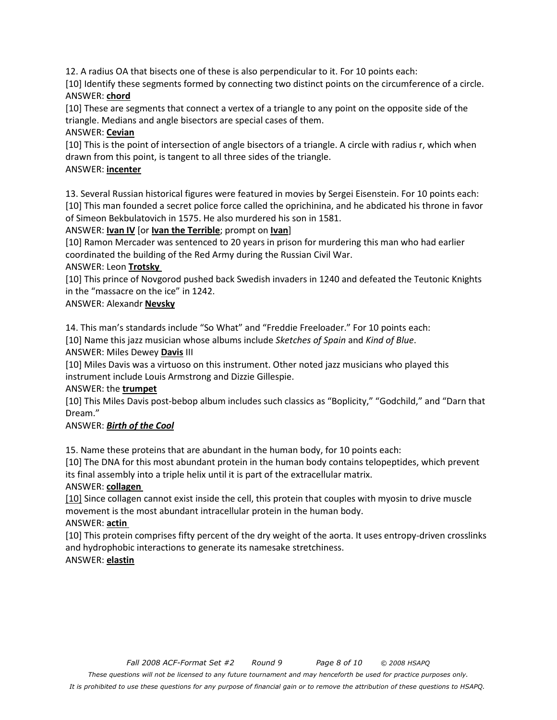12. A radius OA that bisects one of these is also perpendicular to it. For 10 points each:

[10] Identify these segments formed by connecting two distinct points on the circumference of a circle. ANSWER: **chord**

[10] These are segments that connect a vertex of a triangle to any point on the opposite side of the triangle. Medians and angle bisectors are special cases of them.

## ANSWER: **Cevian**

[10] This is the point of intersection of angle bisectors of a triangle. A circle with radius r, which when drawn from this point, is tangent to all three sides of the triangle.

## ANSWER: **incenter**

13. Several Russian historical figures were featured in movies by Sergei Eisenstein. For 10 points each: [10] This man founded a secret police force called the oprichinina, and he abdicated his throne in favor of Simeon Bekbulatovich in 1575. He also murdered his son in 1581.

## ANSWER: **Ivan IV** [or **Ivan the Terrible**; prompt on **Ivan**]

[10] Ramon Mercader was sentenced to 20 years in prison for murdering this man who had earlier coordinated the building of the Red Army during the Russian Civil War.

## ANSWER: Leon **Trotsky**

[10] This prince of Novgorod pushed back Swedish invaders in 1240 and defeated the Teutonic Knights in the "massacre on the ice" in 1242.

## ANSWER: Alexandr **Nevsky**

14. This man's standards include "So What" and "Freddie Freeloader." For 10 points each:

[10] Name this jazz musician whose albums include *Sketches of Spain* and *Kind of Blue*.

## ANSWER: Miles Dewey **Davis** III

[10] Miles Davis was a virtuoso on this instrument. Other noted jazz musicians who played this instrument include Louis Armstrong and Dizzie Gillespie.

#### ANSWER: the **trumpet**

[10] This Miles Davis post-bebop album includes such classics as "Boplicity," "Godchild," and "Darn that Dream."

## ANSWER: *Birth of the Cool*

15. Name these proteins that are abundant in the human body, for 10 points each:

[10] The DNA for this most abundant protein in the human body contains telopeptides, which prevent its final assembly into a triple helix until it is part of the extracellular matrix.

## ANSWER: **collagen**

[10] Since collagen cannot exist inside the cell, this protein that couples with myosin to drive muscle movement is the most abundant intracellular protein in the human body.

## ANSWER: **actin**

[10] This protein comprises fifty percent of the dry weight of the aorta. It uses entropy-driven crosslinks and hydrophobic interactions to generate its namesake stretchiness.

## ANSWER: **elastin**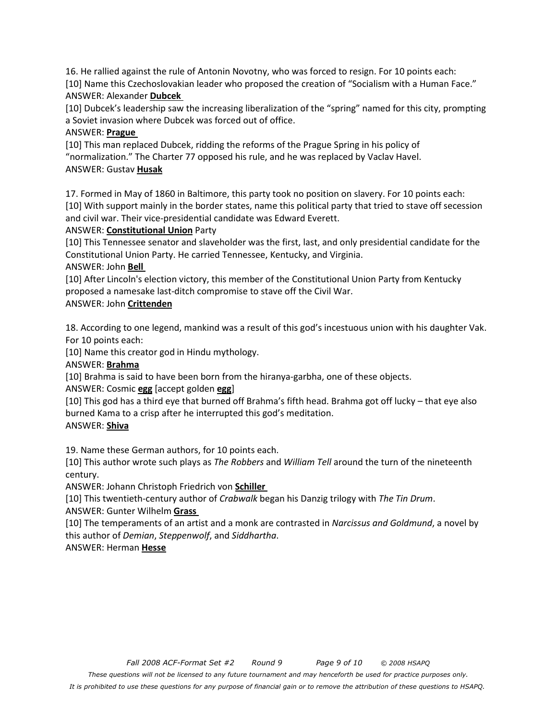16. He rallied against the rule of Antonin Novotny, who was forced to resign. For 10 points each: [10] Name this Czechoslovakian leader who proposed the creation of "Socialism with a Human Face." ANSWER: Alexander **Dubcek** 

[10] Dubcek's leadership saw the increasing liberalization of the "spring" named for this city, prompting a Soviet invasion where Dubcek was forced out of office.

## ANSWER: **Prague**

[10] This man replaced Dubcek, ridding the reforms of the Prague Spring in his policy of "normalization." The Charter 77 opposed his rule, and he was replaced by Vaclav Havel. ANSWER: Gustav **Husak**

17. Formed in May of 1860 in Baltimore, this party took no position on slavery. For 10 points each: [10] With support mainly in the border states, name this political party that tried to stave off secession and civil war. Their vice-presidential candidate was Edward Everett.

## ANSWER: **Constitutional Union** Party

[10] This Tennessee senator and slaveholder was the first, last, and only presidential candidate for the Constitutional Union Party. He carried Tennessee, Kentucky, and Virginia.

## ANSWER: John **Bell**

[10] After Lincoln's election victory, this member of the Constitutional Union Party from Kentucky proposed a namesake last-ditch compromise to stave off the Civil War.

## ANSWER: John **Crittenden**

18. According to one legend, mankind was a result of this god's incestuous union with his daughter Vak. For 10 points each:

[10] Name this creator god in Hindu mythology.

## ANSWER: **Brahma**

[10] Brahma is said to have been born from the hiranya-garbha, one of these objects.

ANSWER: Cosmic **egg** [accept golden **egg**]

[10] This god has a third eye that burned off Brahma's fifth head. Brahma got off lucky – that eye also burned Kama to a crisp after he interrupted this god's meditation.

## ANSWER: **Shiva**

19. Name these German authors, for 10 points each.

[10] This author wrote such plays as *The Robbers* and *William Tell* around the turn of the nineteenth century.

ANSWER: Johann Christoph Friedrich von **Schiller** 

[10] This twentieth-century author of *Crabwalk* began his Danzig trilogy with *The Tin Drum*. ANSWER: Gunter Wilhelm **Grass** 

[10] The temperaments of an artist and a monk are contrasted in *Narcissus and Goldmund*, a novel by this author of *Demian*, *Steppenwolf*, and *Siddhartha*.

## ANSWER: Herman **Hesse**